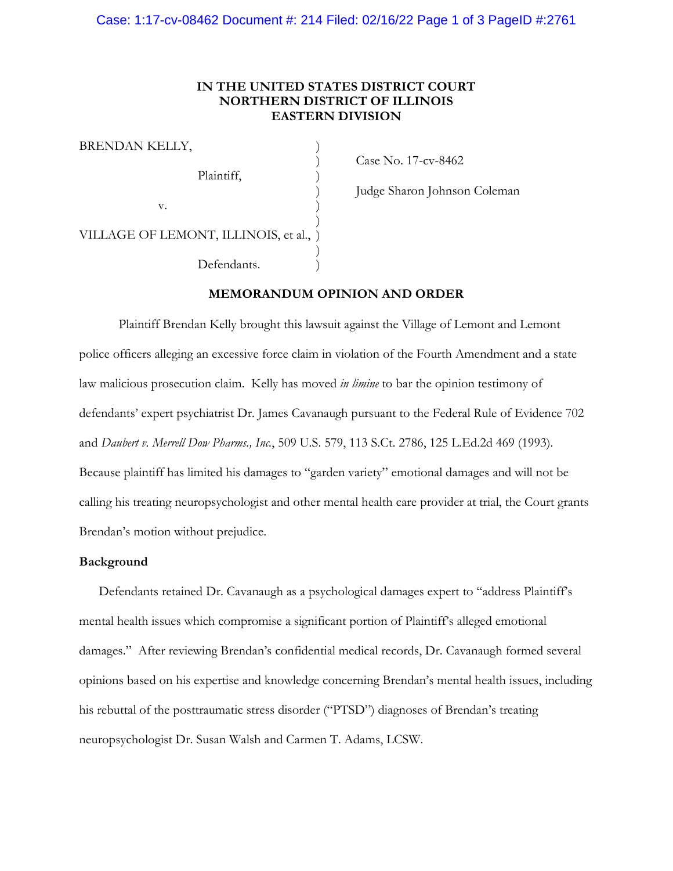## **IN THE UNITED STATES DISTRICT COURT NORTHERN DISTRICT OF ILLINOIS EASTERN DIVISION**

| BRENDAN KELLY,                         |  |
|----------------------------------------|--|
| Plaintiff,                             |  |
| v.                                     |  |
| VILLAGE OF LEMONT, ILLINOIS, et al., ) |  |
| Defendants.                            |  |

) Case No. 17-cv-8462

) Judge Sharon Johnson Coleman

#### **MEMORANDUM OPINION AND ORDER**

Plaintiff Brendan Kelly brought this lawsuit against the Village of Lemont and Lemont police officers alleging an excessive force claim in violation of the Fourth Amendment and a state law malicious prosecution claim. Kelly has moved *in limine* to bar the opinion testimony of defendants' expert psychiatrist Dr. James Cavanaugh pursuant to the Federal Rule of Evidence 702 and *Daubert v. Merrell Dow Pharms., Inc.*, 509 U.S. 579, 113 S.Ct. 2786, 125 L.Ed.2d 469 (1993). Because plaintiff has limited his damages to "garden variety" emotional damages and will not be calling his treating neuropsychologist and other mental health care provider at trial, the Court grants Brendan's motion without prejudice.

## **Background**

Defendants retained Dr. Cavanaugh as a psychological damages expert to "address Plaintiff's mental health issues which compromise a significant portion of Plaintiff's alleged emotional damages." After reviewing Brendan's confidential medical records, Dr. Cavanaugh formed several opinions based on his expertise and knowledge concerning Brendan's mental health issues, including his rebuttal of the posttraumatic stress disorder ("PTSD") diagnoses of Brendan's treating neuropsychologist Dr. Susan Walsh and Carmen T. Adams, LCSW.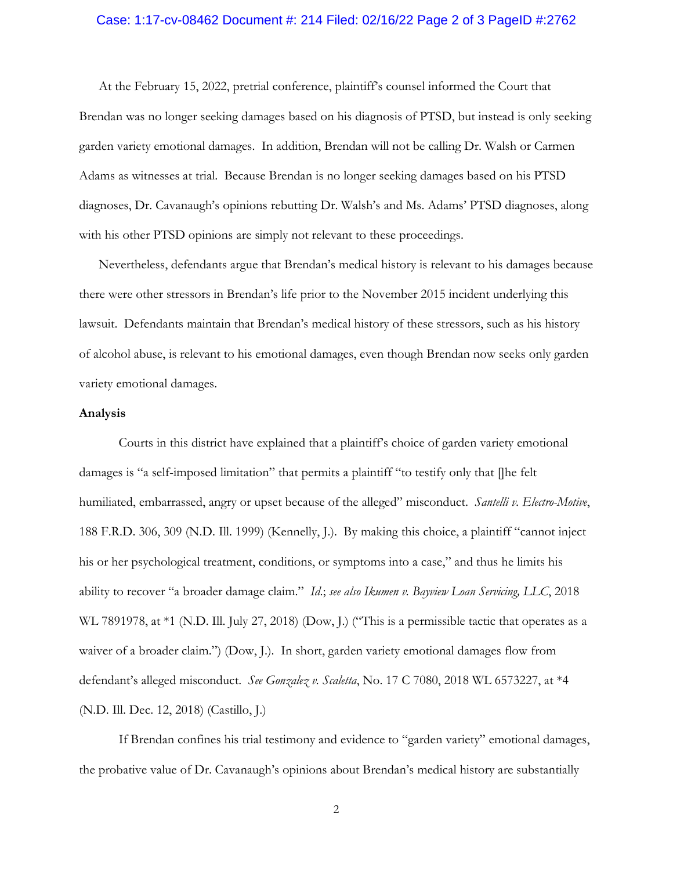#### Case: 1:17-cv-08462 Document #: 214 Filed: 02/16/22 Page 2 of 3 PageID #:2762

At the February 15, 2022, pretrial conference, plaintiff's counsel informed the Court that Brendan was no longer seeking damages based on his diagnosis of PTSD, but instead is only seeking garden variety emotional damages. In addition, Brendan will not be calling Dr. Walsh or Carmen Adams as witnesses at trial. Because Brendan is no longer seeking damages based on his PTSD diagnoses, Dr. Cavanaugh's opinions rebutting Dr. Walsh's and Ms. Adams' PTSD diagnoses, along with his other PTSD opinions are simply not relevant to these proceedings.

Nevertheless, defendants argue that Brendan's medical history is relevant to his damages because there were other stressors in Brendan's life prior to the November 2015 incident underlying this lawsuit. Defendants maintain that Brendan's medical history of these stressors, such as his history of alcohol abuse, is relevant to his emotional damages, even though Brendan now seeks only garden variety emotional damages.

#### **Analysis**

Courts in this district have explained that a plaintiff's choice of garden variety emotional damages is "a self-imposed limitation" that permits a plaintiff "to testify only that []he felt humiliated, embarrassed, angry or upset because of the alleged" misconduct. *Santelli v. Electro-Motive*, 188 F.R.D. 306, 309 (N.D. Ill. 1999) (Kennelly, J.). By making this choice, a plaintiff "cannot inject his or her psychological treatment, conditions, or symptoms into a case," and thus he limits his ability to recover "a broader damage claim." *Id*.; *see also Ikumen v. Bayview Loan Servicing, LLC*, 2018 WL 7891978, at  $*1$  (N.D. Ill. July 27, 2018) (Dow, J.) ("This is a permissible tactic that operates as a waiver of a broader claim.") (Dow, J.). In short, garden variety emotional damages flow from defendant's alleged misconduct. *See Gonzalez v. Scaletta*, No. 17 C 7080, 2018 WL 6573227, at \*4 (N.D. Ill. Dec. 12, 2018) (Castillo, J.)

If Brendan confines his trial testimony and evidence to "garden variety" emotional damages, the probative value of Dr. Cavanaugh's opinions about Brendan's medical history are substantially